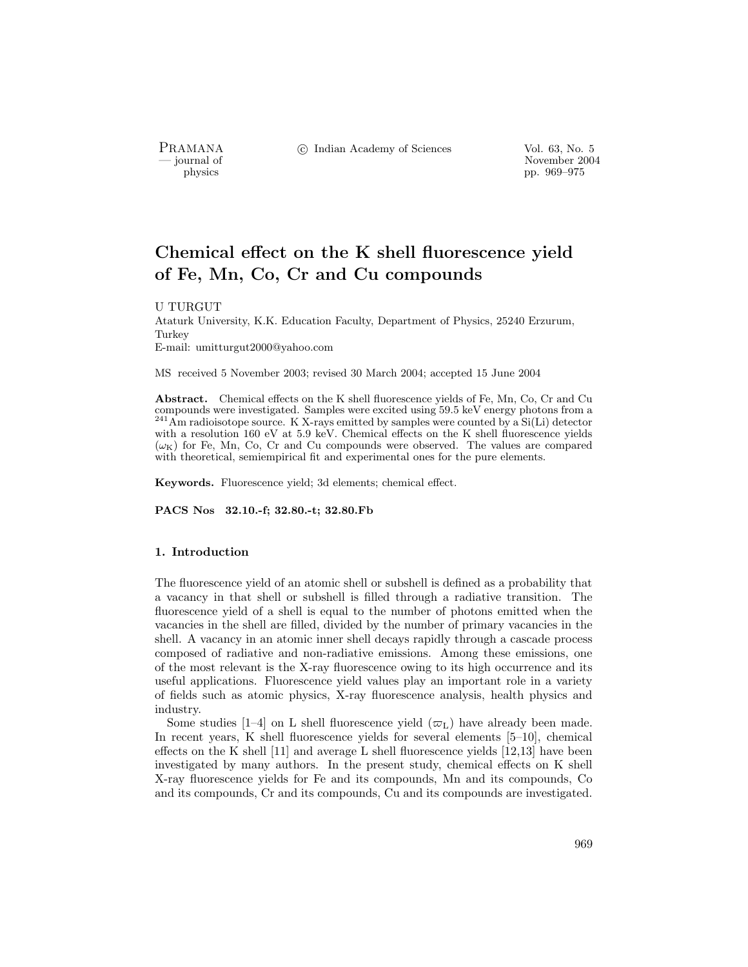PRAMANA °c Indian Academy of Sciences Vol. 63, No. 5

purnal of November 2004<br>
pp. 969–975<br>
pp. 969–975 physics pp. 969–975

# Chemical effect on the K shell fluorescence yield of Fe, Mn, Co, Cr and Cu compounds

U TURGUT

Ataturk University, K.K. Education Faculty, Department of Physics, 25240 Erzurum, Turkey E-mail: umitturgut2000@yahoo.com

MS received 5 November 2003; revised 30 March 2004; accepted 15 June 2004

Abstract. Chemical effects on the K shell fluorescence yields of Fe, Mn, Co, Cr and Cu compounds were investigated. Samples were excited using 59.5 keV energy photons from a <sup>241</sup>Am radioisotope source. K X-rays emitted by samples were counted by a Si(Li) detector with a resolution 160 eV at 5.9 keV. Chemical effects on the K shell fluorescence yields  $(\omega_{\rm K})$  for Fe, Mn, Co, Cr and Cu compounds were observed. The values are compared with theoretical, semiempirical fit and experimental ones for the pure elements.

Keywords. Fluorescence yield; 3d elements; chemical effect.

PACS Nos 32.10.-f; 32.80.-t; 32.80.Fb

## 1. Introduction

The fluorescence yield of an atomic shell or subshell is defined as a probability that a vacancy in that shell or subshell is filled through a radiative transition. The fluorescence yield of a shell is equal to the number of photons emitted when the vacancies in the shell are filled, divided by the number of primary vacancies in the shell. A vacancy in an atomic inner shell decays rapidly through a cascade process composed of radiative and non-radiative emissions. Among these emissions, one of the most relevant is the X-ray fluorescence owing to its high occurrence and its useful applications. Fluorescence yield values play an important role in a variety of fields such as atomic physics, X-ray fluorescence analysis, health physics and industry.

Some studies [1–4] on L shell fluorescence yield  $(\varpi_L)$  have already been made. In recent years, K shell fluorescence yields for several elements [5–10], chemical effects on the K shell [11] and average L shell fluorescence yields [12,13] have been investigated by many authors. In the present study, chemical effects on K shell X-ray fluorescence yields for Fe and its compounds, Mn and its compounds, Co and its compounds, Cr and its compounds, Cu and its compounds are investigated.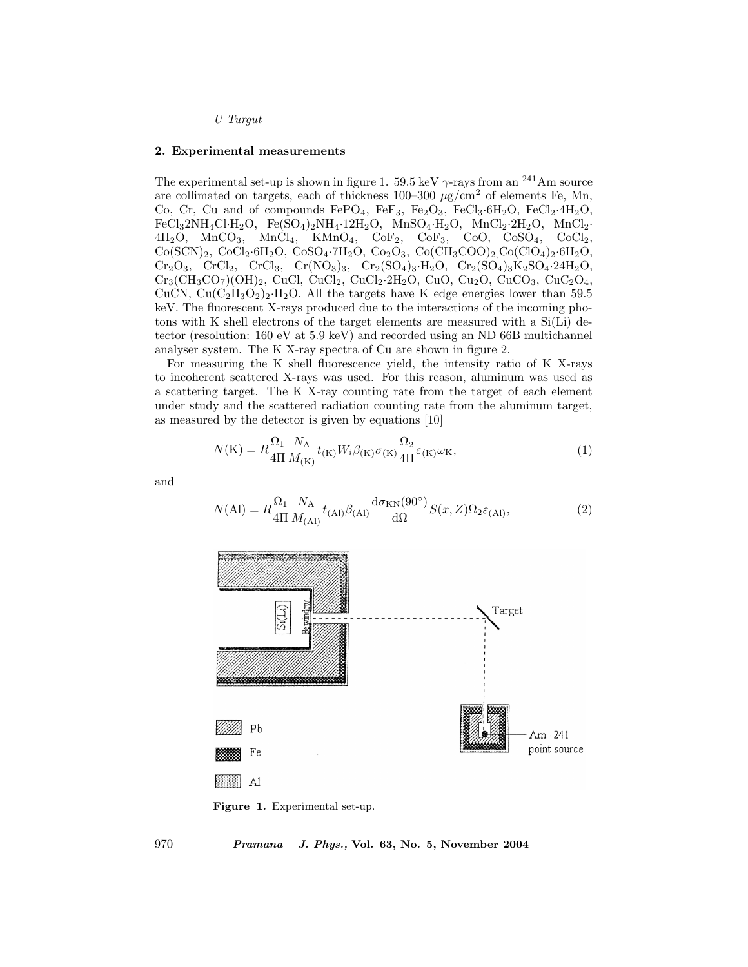U Turgut

#### 2. Experimental measurements

The experimental set-up is shown in figure 1. 59.5 keV  $\gamma$ -rays from an <sup>241</sup>Am source are collimated on targets, each of thickness 100–300  $\mu$ g/cm<sup>2</sup> of elements Fe, Mn, Co, Cr, Cu and of compounds  $FePO<sub>4</sub>$ ,  $FeF<sub>3</sub>$ ,  $Fe<sub>2</sub>O<sub>3</sub>$ ,  $FeCl<sub>3</sub>·6H<sub>2</sub>O$ ,  $FeCl<sub>2</sub>·4H<sub>2</sub>O$ ,  $\rm FeCl_32NH_4Cl \cdot H_2O, \quad Fe(SO_4)_2NH_4 \cdot 12H_2O, \quad MnSO_4 \cdot H_2O, \quad MnCl_2 \cdot 2H_2O, \quad MnCl_2 \cdot 2H_2O, \quad MnCl_2 \cdot 2H_2O, \quad MnCl_2 \cdot 2H_2O, \quad MnCl_2 \cdot 2H_2O, \quad MnCl_2 \cdot 2H_2O, \quad MnCl_2 \cdot 2H_2O, \quad MnCl_2 \cdot 2H_2O, \quad MnCl_2 \cdot 2H_2O, \quad MnCl_2 \cdot 2H_2O, \quad MnCl_2 \cdot 2H_2O, \quad$  $4H_2O$ ,  $MnCO_3$ ,  $MnCl_4$ ,  $KMnO_4$ ,  $CoF_2$ ,  $CoF_3$ ,  $CoO$ ,  $CoSO_4$ ,  $CoCl_2$ ,  $Co(SCN)_2, CoCl_2·6H_2O, CoSO_4·7H_2O, Co_2O_3, Co(CH_3COO)_2, Co(ClO_4)_2·6H_2O,$  $Cr_2O_3$ ,  $CrCl_2$ ,  $CrCl_3$ ,  $Cr(NO_3)_3$ ,  $Cr_2(SO_4)_3·H_2O$ ,  $Cr_2(SO_4)_3K_2SO_4·24H_2O$ ,  $Cr_3(CH_3CO_7)(OH)_2$ , CuCl, CuCl<sub>2</sub>, CuCl<sub>2</sub>·2H<sub>2</sub>O, CuO, Cu<sub>2</sub>O, CuCO<sub>3</sub>, CuC<sub>2</sub>O<sub>4</sub>, CuCN,  $Cu(C_2H_3O_2)_2·H_2O$ . All the targets have K edge energies lower than 59.5 keV. The fluorescent X-rays produced due to the interactions of the incoming photons with K shell electrons of the target elements are measured with a  $Si(Li)$  detector (resolution: 160 eV at 5.9 keV) and recorded using an ND 66B multichannel analyser system. The K X-ray spectra of Cu are shown in figure 2.

For measuring the K shell fluorescence yield, the intensity ratio of K X-rays to incoherent scattered X-rays was used. For this reason, aluminum was used as a scattering target. The K X-ray counting rate from the target of each element under study and the scattered radiation counting rate from the aluminum target, as measured by the detector is given by equations [10]

$$
N(\mathbf{K}) = R \frac{\Omega_1}{4\Pi} \frac{N_{\mathbf{A}}}{M_{(\mathbf{K})}} t_{(\mathbf{K})} W_i \beta_{(\mathbf{K})} \sigma_{(\mathbf{K})} \frac{\Omega_2}{4\Pi} \varepsilon_{(\mathbf{K})} \omega_{\mathbf{K}},\tag{1}
$$

and

$$
N(\text{Al}) = R \frac{\Omega_1}{4\Pi} \frac{N_\text{A}}{M_{(\text{Al})}} t_{(\text{Al})} \beta_{(\text{Al})} \frac{\mathrm{d}\sigma_{\text{KN}}(90^\circ)}{\mathrm{d}\Omega} S(x, Z) \Omega_2 \varepsilon_{(\text{Al})},\tag{2}
$$



Figure 1. Experimental set-up.

970 Pramana – J. Phys., Vol. 63, No. 5, November 2004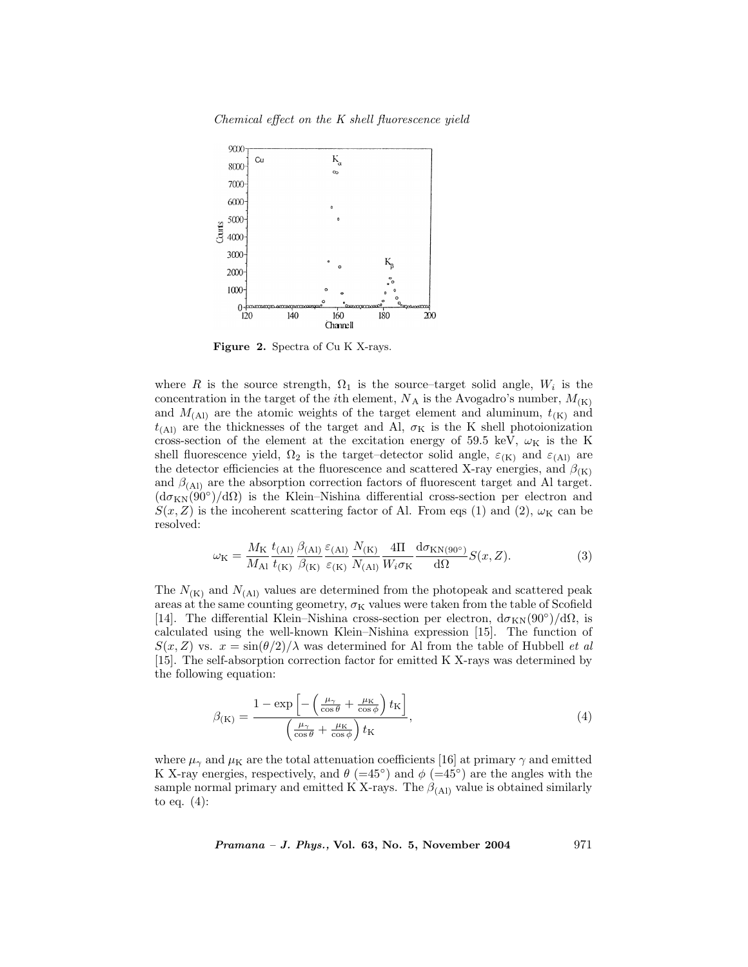

Figure 2. Spectra of Cu K X-rays.

where R is the source strength,  $\Omega_1$  is the source–target solid angle,  $W_i$  is the concentration in the target of the *i*th element,  $N_A$  is the Avogadro's number,  $M_{(K)}$ and  $M_{\text{(Al)}}$  are the atomic weights of the target element and aluminum,  $t_{\text{(K)}}$  and  $t_{(A1)}$  are the thicknesses of the target and Al,  $\sigma_K$  is the K shell photoionization cross-section of the element at the excitation energy of 59.5 keV,  $\omega_{\rm K}$  is the K shell fluorescence yield,  $\Omega_2$  is the target–detector solid angle,  $\varepsilon_{(K)}$  and  $\varepsilon_{(A)}$  are the detector efficiencies at the fluorescence and scattered X-ray energies, and  $\beta_{(K)}$ and  $\beta$ <sub>(Al)</sub> are the absorption correction factors of fluorescent target and Al target.  $(d\sigma_{KN}(90°)/d\Omega)$  is the Klein–Nishina differential cross-section per electron and  $S(x, Z)$  is the incoherent scattering factor of Al. From eqs (1) and (2),  $\omega_{\rm K}$  can be resolved:

$$
\omega_{\mathcal{K}} = \frac{M_{\mathcal{K}}}{M_{\mathcal{A}1}} \frac{t_{\mathcal{(A}1)}}{t_{\mathcal{(K)}}} \frac{\beta_{\mathcal{(A}1)}}{\beta_{\mathcal{(K)}}} \frac{\varepsilon_{\mathcal{(A}1)}}{\varepsilon_{\mathcal{(K)}}} \frac{N_{\mathcal{(K)}}}{N_{\mathcal{(A}1)}} \frac{4\Pi}{W_i \sigma_{\mathcal{K}}} \frac{d\sigma_{\mathcal{K}N(90^\circ)}}{d\Omega} S(x, Z). \tag{3}
$$

The  $N_{(K)}$  and  $N_{(A)}$  values are determined from the photopeak and scattered peak areas at the same counting geometry,  $\sigma_K$  values were taken from the table of Scofield [14]. The differential Klein–Nishina cross-section per electron,  $d\sigma_{KN}(90°)/d\Omega$ , is calculated using the well-known Klein–Nishina expression [15]. The function of  $S(x, Z)$  vs.  $x = \sin(\theta/2)/\lambda$  was determined for Al from the table of Hubbell *et al* [15]. The self-absorption correction factor for emitted K X-rays was determined by the following equation:

$$
\beta(\mathbf{k}) = \frac{1 - \exp\left[-\left(\frac{\mu_{\gamma}}{\cos\theta} + \frac{\mu_{\mathbf{k}}}{\cos\phi}\right)t_{\mathbf{k}}\right]}{\left(\frac{\mu_{\gamma}}{\cos\theta} + \frac{\mu_{\mathbf{k}}}{\cos\phi}\right)t_{\mathbf{k}}},\tag{4}
$$

where  $\mu_{\gamma}$  and  $\mu_{\rm K}$  are the total attenuation coefficients [16] at primary  $\gamma$  and emitted K X-ray energies, respectively, and  $\theta$  (=45°) and  $\phi$  (=45°) are the angles with the sample normal primary and emitted K X-rays. The  $\beta_{(Al)}$  value is obtained similarly to eq. (4):

 $Pramana - J. Phys., Vol. 63, No. 5, November 2004$  971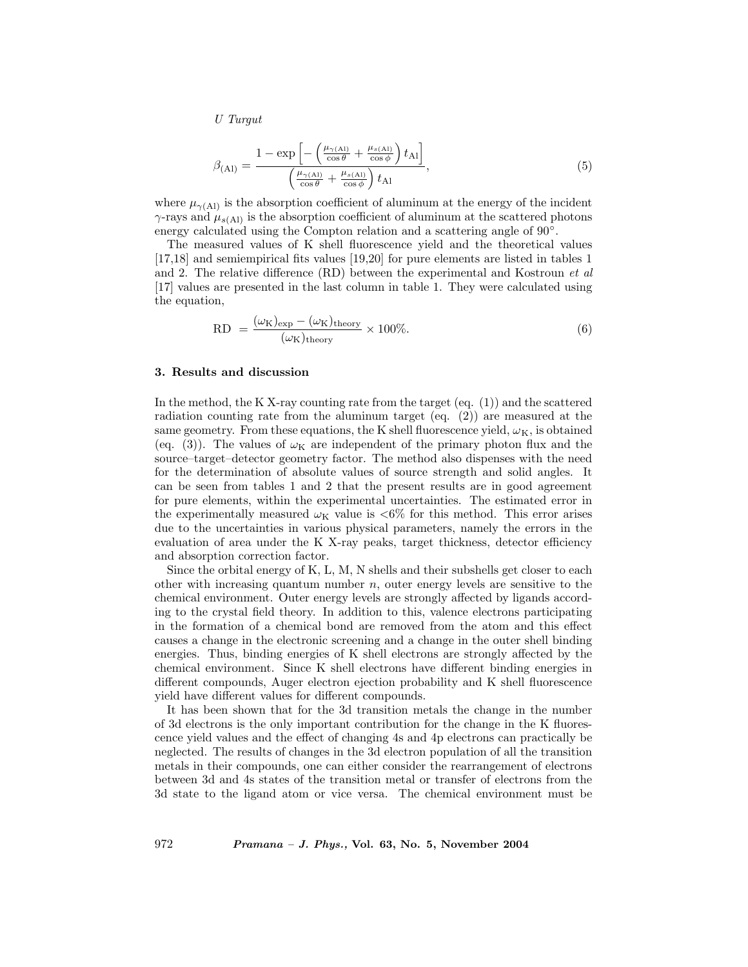U Turgut

$$
\beta_{\text{(Al)}} = \frac{1 - \exp\left[-\left(\frac{\mu_{\gamma\text{(Al)}}}{\cos\theta} + \frac{\mu_{s\text{(Al)}}}{\cos\phi}\right)t_{\text{Al}}\right]}{\left(\frac{\mu_{\gamma\text{(Al)}}}{\cos\theta} + \frac{\mu_{s\text{(Al)}}}{\cos\phi}\right)t_{\text{Al}}},\tag{5}
$$

where  $\mu_{\gamma(A)}$  is the absorption coefficient of aluminum at the energy of the incident  $\gamma$ -rays and  $\mu_{s(A)}$  is the absorption coefficient of aluminum at the scattered photons energy calculated using the Compton relation and a scattering angle of 90<sup>°</sup>.

The measured values of K shell fluorescence yield and the theoretical values [17,18] and semiempirical fits values [19,20] for pure elements are listed in tables 1 and 2. The relative difference (RD) between the experimental and Kostroun et al [17] values are presented in the last column in table 1. They were calculated using the equation,

$$
RD = \frac{(\omega_{K})_{\text{exp}} - (\omega_{K})_{\text{theory}}}{(\omega_{K})_{\text{theory}}} \times 100\%.
$$
 (6)

### 3. Results and discussion

In the method, the K X-ray counting rate from the target (eq. (1)) and the scattered radiation counting rate from the aluminum target (eq. (2)) are measured at the same geometry. From these equations, the K shell fluorescence yield,  $\omega_K$ , is obtained (eq. (3)). The values of  $\omega_K$  are independent of the primary photon flux and the source–target–detector geometry factor. The method also dispenses with the need for the determination of absolute values of source strength and solid angles. It can be seen from tables 1 and 2 that the present results are in good agreement for pure elements, within the experimental uncertainties. The estimated error in the experimentally measured  $\omega_K$  value is  $< 6\%$  for this method. This error arises due to the uncertainties in various physical parameters, namely the errors in the evaluation of area under the K X-ray peaks, target thickness, detector efficiency and absorption correction factor.

Since the orbital energy of K, L, M, N shells and their subshells get closer to each other with increasing quantum number  $n$ , outer energy levels are sensitive to the chemical environment. Outer energy levels are strongly affected by ligands according to the crystal field theory. In addition to this, valence electrons participating in the formation of a chemical bond are removed from the atom and this effect causes a change in the electronic screening and a change in the outer shell binding energies. Thus, binding energies of K shell electrons are strongly affected by the chemical environment. Since K shell electrons have different binding energies in different compounds, Auger electron ejection probability and K shell fluorescence yield have different values for different compounds.

It has been shown that for the 3d transition metals the change in the number of 3d electrons is the only important contribution for the change in the K fluorescence yield values and the effect of changing 4s and 4p electrons can practically be neglected. The results of changes in the 3d electron population of all the transition metals in their compounds, one can either consider the rearrangement of electrons between 3d and 4s states of the transition metal or transfer of electrons from the 3d state to the ligand atom or vice versa. The chemical environment must be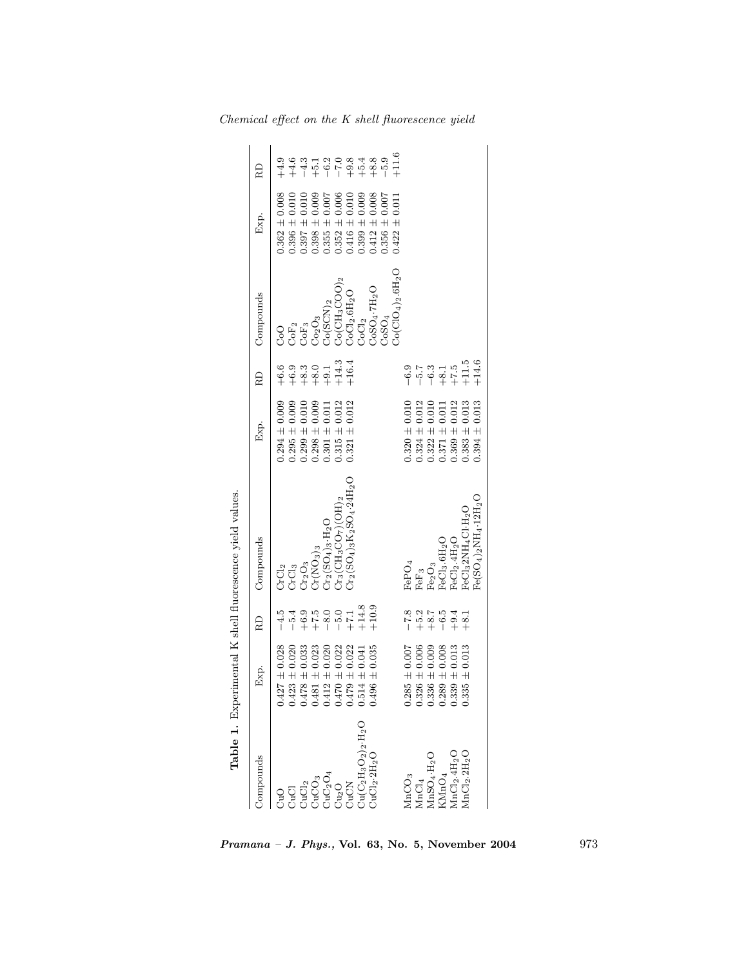|                                                                                           |                                                                                                                                                                                     |                                                                                                                                                                                                                                                                                                                                                     | Table 1. Experimental K shell fluorescence yield values.                                                                                                                                       |                   |                                                                                                                      |                                                                                                                                                                                                                           |                                                                   |                     |
|-------------------------------------------------------------------------------------------|-------------------------------------------------------------------------------------------------------------------------------------------------------------------------------------|-----------------------------------------------------------------------------------------------------------------------------------------------------------------------------------------------------------------------------------------------------------------------------------------------------------------------------------------------------|------------------------------------------------------------------------------------------------------------------------------------------------------------------------------------------------|-------------------|----------------------------------------------------------------------------------------------------------------------|---------------------------------------------------------------------------------------------------------------------------------------------------------------------------------------------------------------------------|-------------------------------------------------------------------|---------------------|
| Compounds                                                                                 | Exp.                                                                                                                                                                                | RD                                                                                                                                                                                                                                                                                                                                                  | Compounds                                                                                                                                                                                      | Exp.              | RD                                                                                                                   | Compounds                                                                                                                                                                                                                 | Exp.                                                              | R                   |
|                                                                                           | $0.427 \pm 0.028$                                                                                                                                                                   | $-4.5$                                                                                                                                                                                                                                                                                                                                              |                                                                                                                                                                                                | $0.294 \pm 0.009$ |                                                                                                                      |                                                                                                                                                                                                                           | $0.362 \pm 0.008$                                                 | $+4.9$              |
| ond<br>បាញ់<br>បាច់ បាច់                                                                  |                                                                                                                                                                                     | $-5.4$                                                                                                                                                                                                                                                                                                                                              | $\begin{array}{l} {\rm CrCl}_2 \\ {\rm CrCl}_3 \\ {\rm Cr}_2{\rm O}_3 \\ {\rm Cr}( {\rm NO}_3)_3 \\ {\rm Cr}( {\rm NO}_3)_3 \\ {\rm Cr}_2({\rm SO}_4)_3 \cdot {\rm H}_2{\rm O} \\ \end{array}$ | $0.295 \pm 0.009$ |                                                                                                                      | $\begin{array}{l} {\rm CoO} \\ {\rm CoF}_1 \\ {\rm CoF}_3 \\ {\rm CoO}_3 \\ {\rm Co(SCN)}_2 \\ {\rm Co(SCN)}_2 \\ {\rm Co(CH_3COO)_2} \\ {\rm CoCl}_2.6 {\rm H}_2 {\rm O} \\ {\rm CoCl}_2 \\ {\rm COCl}_2 \\ \end{array}$ | $0.396 \pm 0.010$                                                 |                     |
|                                                                                           | $\begin{array}{c} 0.423 \pm 0.020 \\ 0.478 \pm 0.033 \\ 0.481 \pm 0.023 \\ 0.421 \pm 0.022 \\ 0.412 \pm 0.020 \\ 0.470 \pm 0.022 \\ 0.479 \pm 0.022 \\ 0.514 \pm 0.022 \end{array}$ |                                                                                                                                                                                                                                                                                                                                                     |                                                                                                                                                                                                | $0.299 \pm 0.010$ |                                                                                                                      |                                                                                                                                                                                                                           | $0.397 \pm 0.010$                                                 |                     |
|                                                                                           |                                                                                                                                                                                     | $\begin{array}{l} 6.9 \\ + + 0.5 \\ + - 0.0 \\ + + 14.8 \\ + + 14.8 \\ + + 14.8 \\ + + 14.8 \\ + + 14.8 \\ + + 14.8 \\ + + 14.8 \\ + + 14.9 \\ + + 14.9 \\ + + 14.9 \\ + + 14.9 \\ + + 14.9 \\ + + 14.9 \\ + + 14.9 \\ + + 14.9 \\ + + 14.9 \\ + + 14.9 \\ + + 14.9 \\ + + 14.9 \\ + + 14.9 \\ + + 14.9 \\ + + 14.9 \\ + + 14.9 \\ + + 14.9 \\ + +$ |                                                                                                                                                                                                | $0.298 \pm 0.009$ |                                                                                                                      |                                                                                                                                                                                                                           | $0.398 \pm 0.009$                                                 |                     |
| $\begin{array}{l} \mathrm{CuC_{2}O_{4}} \\ \mathrm{Cu_{2}O} \\ \mathrm{CuCN} \end{array}$ |                                                                                                                                                                                     |                                                                                                                                                                                                                                                                                                                                                     |                                                                                                                                                                                                | $0.301 \pm 0.01$  |                                                                                                                      |                                                                                                                                                                                                                           | $0.355 \pm 0.007$                                                 |                     |
|                                                                                           |                                                                                                                                                                                     |                                                                                                                                                                                                                                                                                                                                                     | $C_{13}$ (CH <sub>3</sub> CO <sub>7</sub> )(OH) <sub>2</sub>                                                                                                                                   | $0.315 \pm 0.012$ |                                                                                                                      |                                                                                                                                                                                                                           |                                                                   |                     |
|                                                                                           |                                                                                                                                                                                     |                                                                                                                                                                                                                                                                                                                                                     | $\text{Cr}_2(\text{SO}_4)_3\text{K}_2\text{SO}_4\cdot 24\text{H}_2\text{O}$                                                                                                                    | $0.321 \pm 0.012$ |                                                                                                                      |                                                                                                                                                                                                                           | $\begin{array}{c} 0.352 \pm 0.006 \\ 0.416 \pm 0.010 \end{array}$ |                     |
| $Du(C_2H_3O_2)_{2} \cdot H_2O$                                                            |                                                                                                                                                                                     |                                                                                                                                                                                                                                                                                                                                                     |                                                                                                                                                                                                |                   |                                                                                                                      |                                                                                                                                                                                                                           | $0.399 \pm 0.009$                                                 |                     |
| CuCl <sub>2</sub> ·2H <sub>2</sub> O                                                      | $0.496 \pm 0.035$                                                                                                                                                                   |                                                                                                                                                                                                                                                                                                                                                     |                                                                                                                                                                                                |                   |                                                                                                                      | CoSO <sub>4</sub> .7H <sub>2</sub> O                                                                                                                                                                                      | $0.412 \pm 0.008$                                                 | $4 + 1 + 1 + 1 + 1$ |
|                                                                                           |                                                                                                                                                                                     |                                                                                                                                                                                                                                                                                                                                                     |                                                                                                                                                                                                |                   |                                                                                                                      | 508O <sub>4</sub>                                                                                                                                                                                                         | 0.007<br>$0.356 \pm$                                              |                     |
|                                                                                           |                                                                                                                                                                                     |                                                                                                                                                                                                                                                                                                                                                     |                                                                                                                                                                                                |                   |                                                                                                                      | $O_6({\rm CIO}_4)_2.6{\rm H}_2{\rm O}_4$                                                                                                                                                                                  | $\pm 0.011$<br>0.422                                              | $+11.6$             |
| MnCO <sub>3</sub>                                                                         |                                                                                                                                                                                     |                                                                                                                                                                                                                                                                                                                                                     |                                                                                                                                                                                                | $0.320 \pm 0.010$ |                                                                                                                      |                                                                                                                                                                                                                           |                                                                   |                     |
|                                                                                           | $\begin{array}{c} 0.285\,\pm\,0.007\\ 0.326\,\pm\,0.006 \end{array}$                                                                                                                |                                                                                                                                                                                                                                                                                                                                                     |                                                                                                                                                                                                | $0.324 \pm 0.012$ |                                                                                                                      |                                                                                                                                                                                                                           |                                                                   |                     |
| $\mathrm{MnCl}_4\mathrm{MnSO}_4\text{-}\mathrm{H}_2\mathrm{O}$                            | $0.336 \pm 0.009$                                                                                                                                                                   | $\begin{array}{cccc}\n & 2 & 3 & 4 & 1 \\  & 2 & 3 & 5 & 4 & 1 \\  & 2 & 3 & 5 & 5 & 1 \\  & 2 & 4 & 5 & 5 & 1 \\  & 2 & 3 & 5 & 5 & 1\n\end{array}$                                                                                                                                                                                                | $\begin{array}{l} \mathrm{FePO}_4 \\ \mathrm{Fe} \mathrm{P}_3 \\ \mathrm{Fe}_2 \mathrm{O}_3 \\ \mathrm{Fe}\mathrm{Cl}_3.\mathrm{6H}_2\mathrm{O} \end{array}$                                   | $0.322 \pm 0.010$ |                                                                                                                      |                                                                                                                                                                                                                           |                                                                   |                     |
| MnO <sub>4</sub>                                                                          |                                                                                                                                                                                     |                                                                                                                                                                                                                                                                                                                                                     |                                                                                                                                                                                                | $0.371 \pm 0.011$ |                                                                                                                      |                                                                                                                                                                                                                           |                                                                   |                     |
| AnCl <sub>2</sub> .4H <sub>2</sub>                                                        | $\begin{array}{c} 0.289\,\pm\,0.008\\ 0.339\,\pm\,0.013 \end{array}$                                                                                                                |                                                                                                                                                                                                                                                                                                                                                     | FeCl <sub>2</sub> .4H <sub>2</sub> O                                                                                                                                                           | $0.369 \pm 0.012$ |                                                                                                                      |                                                                                                                                                                                                                           |                                                                   |                     |
| $\text{MnCl}_2.\text{2H}_2\text{O}$                                                       | $0.335 \pm 0.013$                                                                                                                                                                   |                                                                                                                                                                                                                                                                                                                                                     | FeCl32NH <sub>4</sub> Cl-H <sub>2</sub> O                                                                                                                                                      | $0.383 \pm 0.013$ | $-6.7$<br>$-7.7$<br>$-8.1$<br>$-7.5$<br>$-7.7$<br>$-7.5$<br>$-7.5$<br>$-7.5$<br>$-7.5$<br>$-7.5$<br>$-7.5$<br>$-7.5$ |                                                                                                                                                                                                                           |                                                                   |                     |
|                                                                                           |                                                                                                                                                                                     |                                                                                                                                                                                                                                                                                                                                                     | $Fe(SO_4)_2NH_4 \cdot 12H_2O$                                                                                                                                                                  | $0.394 \pm 0.013$ |                                                                                                                      |                                                                                                                                                                                                                           |                                                                   |                     |
|                                                                                           |                                                                                                                                                                                     |                                                                                                                                                                                                                                                                                                                                                     |                                                                                                                                                                                                |                   |                                                                                                                      |                                                                                                                                                                                                                           |                                                                   |                     |

Chemical effect on the K shell fluorescence yield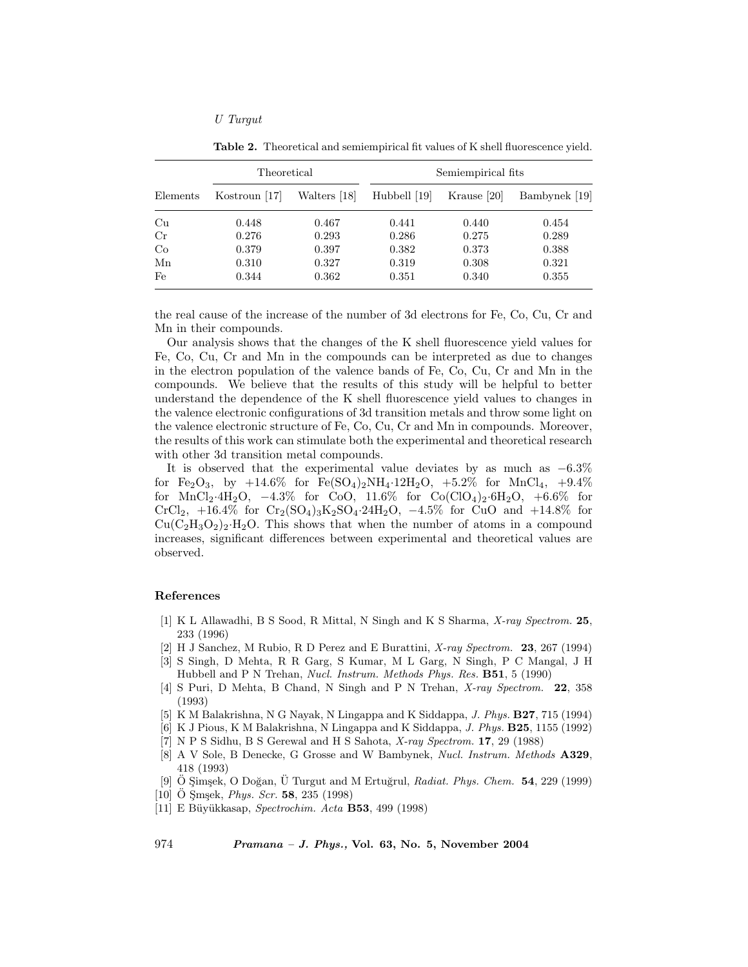### U Turgut

|          | Theoretical   |              | Semiempirical fits |             |               |
|----------|---------------|--------------|--------------------|-------------|---------------|
| Elements | Kostroun [17] | Walters [18] | Hubbell [19]       | Krause [20] | Bambynek [19] |
| Cu       | 0.448         | 0.467        | 0.441              | 0.440       | 0.454         |
| Cr       | 0.276         | 0.293        | 0.286              | 0.275       | 0.289         |
| Co       | 0.379         | 0.397        | 0.382              | 0.373       | 0.388         |
| Mn       | 0.310         | 0.327        | 0.319              | 0.308       | 0.321         |
| Fe       | 0.344         | 0.362        | 0.351              | 0.340       | 0.355         |

Table 2. Theoretical and semiempirical fit values of K shell fluorescence yield.

the real cause of the increase of the number of 3d electrons for Fe, Co, Cu, Cr and Mn in their compounds.

Our analysis shows that the changes of the K shell fluorescence yield values for Fe, Co, Cu, Cr and Mn in the compounds can be interpreted as due to changes in the electron population of the valence bands of Fe, Co, Cu, Cr and Mn in the compounds. We believe that the results of this study will be helpful to better understand the dependence of the K shell fluorescence yield values to changes in the valence electronic configurations of 3d transition metals and throw some light on the valence electronic structure of Fe, Co, Cu, Cr and Mn in compounds. Moreover, the results of this work can stimulate both the experimental and theoretical research with other 3d transition metal compounds.

It is observed that the experimental value deviates by as much as  $-6.3\%$ for Fe<sub>2</sub>O<sub>3</sub>, by  $+14.6\%$  for Fe(SO<sub>4</sub>)<sub>2</sub>NH<sub>4</sub>·12H<sub>2</sub>O,  $+5.2\%$  for MnCl<sub>4</sub>,  $+9.4\%$ for MnCl<sub>2</sub>·4H<sub>2</sub>O,  $-4.3\%$  for CoO, 11.6% for Co(ClO<sub>4</sub>)<sub>2</sub>·6H<sub>2</sub>O, +6.6% for CrCl<sub>2</sub>, +16.4% for Cr<sub>2</sub>(SO<sub>4</sub>)<sub>3</sub>K<sub>2</sub>SO<sub>4</sub>.24H<sub>2</sub>O, -4.5% for CuO and +14.8% for  $Cu(C_2H_3O_2)_2·H_2O$ . This shows that when the number of atoms in a compound increases, significant differences between experimental and theoretical values are observed.

## References

- [1] K L Allawadhi, B S Sood, R Mittal, N Singh and K S Sharma, X-ray Spectrom. 25, 233 (1996)
- [2] H J Sanchez, M Rubio, R D Perez and E Burattini, X-ray Spectrom. 23, 267 (1994)
- [3] S Singh, D Mehta, R R Garg, S Kumar, M L Garg, N Singh, P C Mangal, J H Hubbell and P N Trehan, Nucl. Instrum. Methods Phys. Res. B51, 5 (1990)
- [4] S Puri, D Mehta, B Chand, N Singh and P N Trehan, X-ray Spectrom. 22, 358 (1993)
- [5] K M Balakrishna, N G Nayak, N Lingappa and K Siddappa, J. Phys. B27, 715 (1994)
- [6] K J Pious, K M Balakrishna, N Lingappa and K Siddappa, J. Phys. B25, 1155 (1992)
- [7] N P S Sidhu, B S Gerewal and H S Sahota, X-ray Spectrom. 17, 29 (1988)
- [8] A V Sole, B Denecke, G Grosse and W Bambynek, Nucl. Instrum. Methods A329, 418 (1993)
- [9]  $\ddot{O}$  Simsek, O Doğan,  $\ddot{U}$  Turgut and M Ertuğrul, *Radiat. Phys. Chem.* **54**, 229 (1999)
- $[10]$  O Smsek, *Phys. Scr.* 58, 235 (1998)
- [11] E Büyükkasap, Spectrochim. Acta B53, 499 (1998)

974 Pramana – J. Phys., Vol. 63, No. 5, November 2004